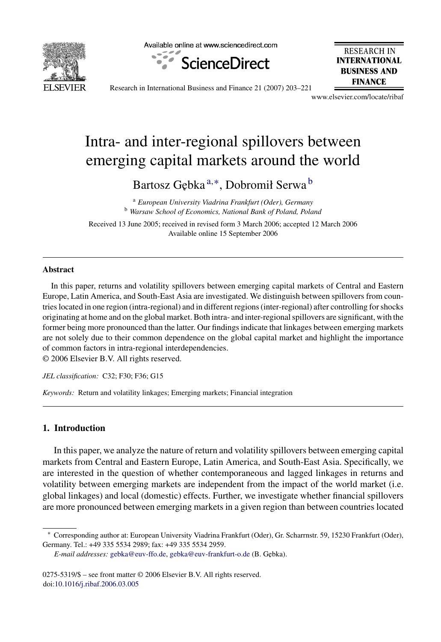

Available online at www.sciencedirect.com



**RESEARCH IN INTERNATIONAL BUSINESS AND FINANCE** 

Research in International Business and Finance 21 (2007) 203–221

www.elsevier.com/locate/ribaf

## Intra- and inter-regional spillovers between emerging capital markets around the world

Bartosz Gębka<sup>a,∗</sup>, Dobromił Serwa<sup>b</sup>

<sup>a</sup> *European University Viadrina Frankfurt (Oder), Germany* <sup>b</sup> *Warsaw School of Economics, National Bank of Poland, Poland*

Received 13 June 2005; received in revised form 3 March 2006; accepted 12 March 2006 Available online 15 September 2006

## **Abstract**

In this paper, returns and volatility spillovers between emerging capital markets of Central and Eastern Europe, Latin America, and South-East Asia are investigated. We distinguish between spillovers from countries located in one region (intra-regional) and in different regions (inter-regional) after controlling for shocks originating at home and on the global market. Both intra- and inter-regional spillovers are significant, with the former being more pronounced than the latter. Our findings indicate that linkages between emerging markets are not solely due to their common dependence on the global capital market and highlight the importance of common factors in intra-regional interdependencies.

© 2006 Elsevier B.V. All rights reserved.

*JEL classification:* C32; F30; F36; G15

*Keywords:* Return and volatility linkages; Emerging markets; Financial integration

## **1. Introduction**

In this paper, we analyze the nature of return and volatility spillovers between emerging capital markets from Central and Eastern Europe, Latin America, and South-East Asia. Specifically, we are interested in the question of whether contemporaneous and lagged linkages in returns and volatility between emerging markets are independent from the impact of the world market (i.e. global linkages) and local (domestic) effects. Further, we investigate whether financial spillovers are more pronounced between emerging markets in a given region than between countries located

<sup>∗</sup> Corresponding author at: European University Viadrina Frankfurt (Oder), Gr. Scharrnstr. 59, 15230 Frankfurt (Oder), Germany. Tel.: +49 335 5534 2989; fax: +49 335 5534 2959.

*E-mail addresses:* [gebka@euv-ffo.de,](mailto:gebka@euv-ffo.de) [gebka@euv-frankfurt-o.de](mailto:gebka@euv-frankfurt-o.de) (B. Gebka). ˛

<sup>0275-5319/\$ –</sup> see front matter © 2006 Elsevier B.V. All rights reserved. doi[:10.1016/j.ribaf.2006.03.005](dx.doi.org/10.1016/j.ribaf.2006.03.005)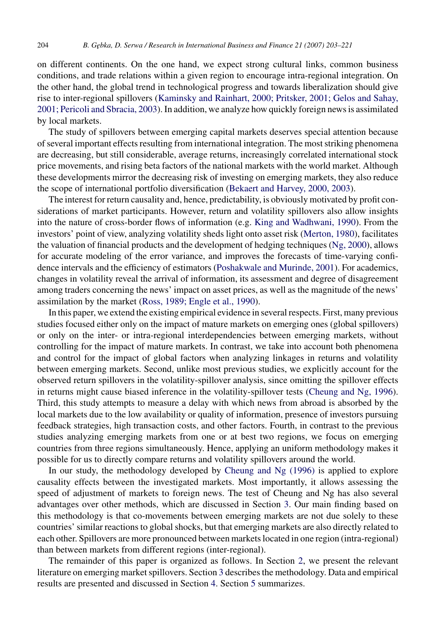on different continents. On the one hand, we expect strong cultural links, common business conditions, and trade relations within a given region to encourage intra-regional integration. On the other hand, the global trend in technological progress and towards liberalization should give rise to inter-regional spillovers ([Kaminsky and Rainhart, 2000; Pritsker, 2001; Gelos and Sahay,](#page--1-0) [2001; Pericoli and Sbracia, 2003\).](#page--1-0) In addition, we analyze how quickly foreign news is assimilated by local markets.

The study of spillovers between emerging capital markets deserves special attention because of several important effects resulting from international integration. The most striking phenomena are decreasing, but still considerable, average returns, increasingly correlated international stock price movements, and rising beta factors of the national markets with the world market. Although these developments mirror the decreasing risk of investing on emerging markets, they also reduce the scope of international portfolio diversification ([Bekaert and Harvey, 2000, 2003\).](#page--1-0)

The interest for return causality and, hence, predictability, is obviously motivated by profit considerations of market participants. However, return and volatility spillovers also allow insights into the nature of cross-border flows of information (e.g. [King and Wadhwani, 1990\).](#page--1-0) From the investors' point of view, analyzing volatility sheds light onto asset risk ([Merton, 1980\),](#page--1-0) facilitates the valuation of financial products and the development of hedging techniques ([Ng, 2000\),](#page--1-0) allows for accurate modeling of the error variance, and improves the forecasts of time-varying confidence intervals and the efficiency of estimators ([Poshakwale and Murinde, 2001\).](#page--1-0) For academics, changes in volatility reveal the arrival of information, its assessment and degree of disagreement among traders concerning the news' impact on asset prices, as well as the magnitude of the news' assimilation by the market ([Ross, 1989; Engle et al., 1990\).](#page--1-0)

In this paper, we extend the existing empirical evidence in several respects. First, many previous studies focused either only on the impact of mature markets on emerging ones (global spillovers) or only on the inter- or intra-regional interdependencies between emerging markets, without controlling for the impact of mature markets. In contrast, we take into account both phenomena and control for the impact of global factors when analyzing linkages in returns and volatility between emerging markets. Second, unlike most previous studies, we explicitly account for the observed return spillovers in the volatility-spillover analysis, since omitting the spillover effects in returns might cause biased inference in the volatility-spillover tests [\(Cheung and Ng, 1996\).](#page--1-0) Third, this study attempts to measure a delay with which news from abroad is absorbed by the local markets due to the low availability or quality of information, presence of investors pursuing feedback strategies, high transaction costs, and other factors. Fourth, in contrast to the previous studies analyzing emerging markets from one or at best two regions, we focus on emerging countries from three regions simultaneously. Hence, applying an uniform methodology makes it possible for us to directly compare returns and volatility spillovers around the world.

In our study, the methodology developed by [Cheung and Ng \(1996\)](#page--1-0) is applied to explore causality effects between the investigated markets. Most importantly, it allows assessing the speed of adjustment of markets to foreign news. The test of Cheung and Ng has also several advantages over other methods, which are discussed in Section [3.](#page--1-0) Our main finding based on this methodology is that co-movements between emerging markets are not due solely to these countries' similar reactions to global shocks, but that emerging markets are also directly related to each other. Spillovers are more pronounced between markets located in one region (intra-regional) than between markets from different regions (inter-regional).

The remainder of this paper is organized as follows. In Section [2,](#page--1-0) we present the relevant literature on emerging market spillovers. Section [3](#page--1-0) describes the methodology. Data and empirical results are presented and discussed in Section [4. S](#page--1-0)ection [5](#page--1-0) summarizes.